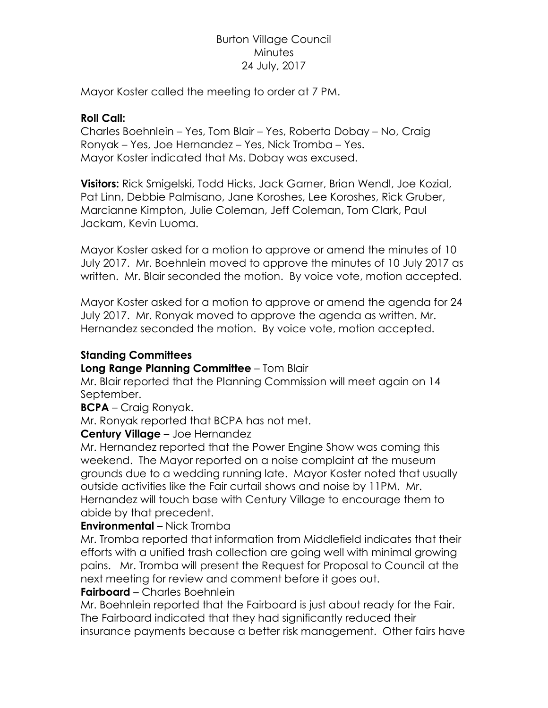# Burton Village Council **Minutes** 24 July, 2017

Mayor Koster called the meeting to order at 7 PM.

### **Roll Call:**

Charles Boehnlein – Yes, Tom Blair – Yes, Roberta Dobay – No, Craig Ronyak – Yes, Joe Hernandez – Yes, Nick Tromba – Yes. Mayor Koster indicated that Ms. Dobay was excused.

**Visitors:** Rick Smigelski, Todd Hicks, Jack Garner, Brian Wendl, Joe Kozial, Pat Linn, Debbie Palmisano, Jane Koroshes, Lee Koroshes, Rick Gruber, Marcianne Kimpton, Julie Coleman, Jeff Coleman, Tom Clark, Paul Jackam, Kevin Luoma.

Mayor Koster asked for a motion to approve or amend the minutes of 10 July 2017. Mr. Boehnlein moved to approve the minutes of 10 July 2017 as written. Mr. Blair seconded the motion. By voice vote, motion accepted.

Mayor Koster asked for a motion to approve or amend the agenda for 24 July 2017. Mr. Ronyak moved to approve the agenda as written. Mr. Hernandez seconded the motion. By voice vote, motion accepted.

### **Standing Committees**

# **Long Range Planning Committee** – Tom Blair

Mr. Blair reported that the Planning Commission will meet again on 14 September.

### **BCPA** – Craig Ronyak.

Mr. Ronyak reported that BCPA has not met.

# **Century Village** – Joe Hernandez

Mr. Hernandez reported that the Power Engine Show was coming this weekend. The Mayor reported on a noise complaint at the museum grounds due to a wedding running late. Mayor Koster noted that usually outside activities like the Fair curtail shows and noise by 11PM. Mr. Hernandez will touch base with Century Village to encourage them to abide by that precedent.

# **Environmental** – Nick Tromba

Mr. Tromba reported that information from Middlefield indicates that their efforts with a unified trash collection are going well with minimal growing pains. Mr. Tromba will present the Request for Proposal to Council at the next meeting for review and comment before it goes out.

# **Fairboard** – Charles Boehnlein

Mr. Boehnlein reported that the Fairboard is just about ready for the Fair. The Fairboard indicated that they had significantly reduced their insurance payments because a better risk management. Other fairs have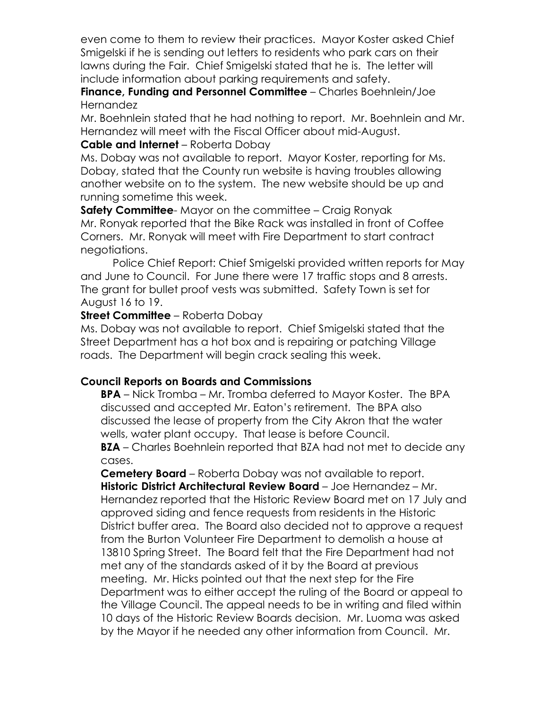even come to them to review their practices. Mayor Koster asked Chief Smigelski if he is sending out letters to residents who park cars on their lawns during the Fair. Chief Smigelski stated that he is. The letter will include information about parking requirements and safety.

**Finance, Funding and Personnel Committee** – Charles Boehnlein/Joe Hernandez

Mr. Boehnlein stated that he had nothing to report. Mr. Boehnlein and Mr. Hernandez will meet with the Fiscal Officer about mid-August.

# **Cable and Internet** – Roberta Dobay

Ms. Dobay was not available to report. Mayor Koster, reporting for Ms. Dobay, stated that the County run website is having troubles allowing another website on to the system. The new website should be up and running sometime this week.

**Safety Committee**- Mayor on the committee – Craig Ronyak Mr. Ronyak reported that the Bike Rack was installed in front of Coffee Corners. Mr. Ronyak will meet with Fire Department to start contract negotiations.

Police Chief Report: Chief Smigelski provided written reports for May and June to Council. For June there were 17 traffic stops and 8 arrests. The grant for bullet proof vests was submitted. Safety Town is set for August 16 to 19.

# **Street Committee** – Roberta Dobay

Ms. Dobay was not available to report. Chief Smigelski stated that the Street Department has a hot box and is repairing or patching Village roads. The Department will begin crack sealing this week.

# **Council Reports on Boards and Commissions**

**BPA** – Nick Tromba – Mr. Tromba deferred to Mayor Koster. The BPA discussed and accepted Mr. Eaton's retirement. The BPA also discussed the lease of property from the City Akron that the water wells, water plant occupy. That lease is before Council.

**BZA** – Charles Boehnlein reported that BZA had not met to decide any cases.

**Cemetery Board** – Roberta Dobay was not available to report. **Historic District Architectural Review Board** – Joe Hernandez – Mr. Hernandez reported that the Historic Review Board met on 17 July and approved siding and fence requests from residents in the Historic District buffer area. The Board also decided not to approve a request from the Burton Volunteer Fire Department to demolish a house at 13810 Spring Street. The Board felt that the Fire Department had not met any of the standards asked of it by the Board at previous meeting. Mr. Hicks pointed out that the next step for the Fire Department was to either accept the ruling of the Board or appeal to the Village Council. The appeal needs to be in writing and filed within 10 days of the Historic Review Boards decision. Mr. Luoma was asked by the Mayor if he needed any other information from Council. Mr.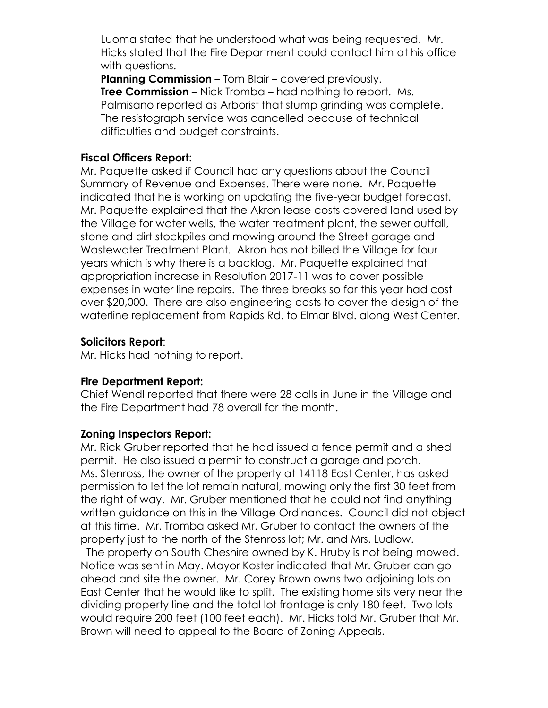Luoma stated that he understood what was being requested. Mr. Hicks stated that the Fire Department could contact him at his office with questions.

**Planning Commission** – Tom Blair – covered previously. **Tree Commission** – Nick Tromba – had nothing to report. Ms. Palmisano reported as Arborist that stump grinding was complete. The resistograph service was cancelled because of technical difficulties and budget constraints.

### **Fiscal Officers Report**:

Mr. Paquette asked if Council had any questions about the Council Summary of Revenue and Expenses. There were none. Mr. Paquette indicated that he is working on updating the five-year budget forecast. Mr. Paquette explained that the Akron lease costs covered land used by the Village for water wells, the water treatment plant, the sewer outfall, stone and dirt stockpiles and mowing around the Street garage and Wastewater Treatment Plant. Akron has not billed the Village for four years which is why there is a backlog. Mr. Paquette explained that appropriation increase in Resolution 2017-11 was to cover possible expenses in water line repairs. The three breaks so far this year had cost over \$20,000. There are also engineering costs to cover the design of the waterline replacement from Rapids Rd. to Elmar Blvd. along West Center.

### **Solicitors Report**:

Mr. Hicks had nothing to report.

### **Fire Department Report:**

Chief Wendl reported that there were 28 calls in June in the Village and the Fire Department had 78 overall for the month.

# **Zoning Inspectors Report:**

Mr. Rick Gruber reported that he had issued a fence permit and a shed permit. He also issued a permit to construct a garage and porch. Ms. Stenross, the owner of the property at 14118 East Center, has asked permission to let the lot remain natural, mowing only the first 30 feet from the right of way. Mr. Gruber mentioned that he could not find anything written guidance on this in the Village Ordinances. Council did not object at this time. Mr. Tromba asked Mr. Gruber to contact the owners of the property just to the north of the Stenross lot; Mr. and Mrs. Ludlow.

 The property on South Cheshire owned by K. Hruby is not being mowed. Notice was sent in May. Mayor Koster indicated that Mr. Gruber can go ahead and site the owner. Mr. Corey Brown owns two adjoining lots on East Center that he would like to split. The existing home sits very near the dividing property line and the total lot frontage is only 180 feet. Two lots would require 200 feet (100 feet each). Mr. Hicks told Mr. Gruber that Mr. Brown will need to appeal to the Board of Zoning Appeals.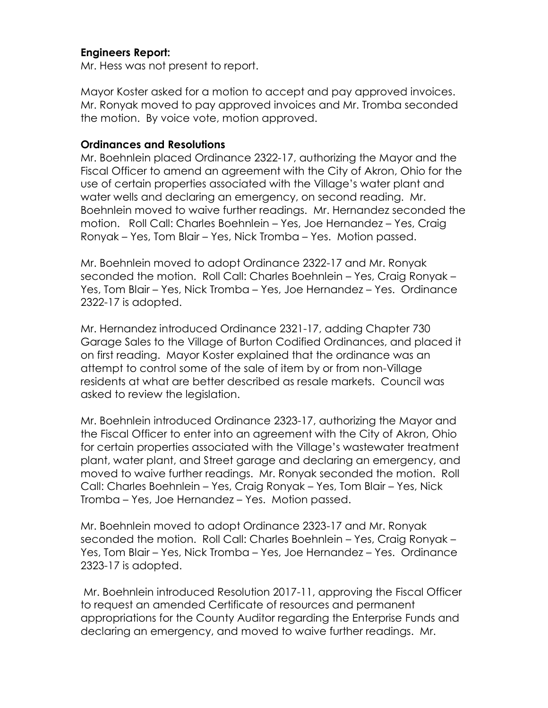### **Engineers Report:**

Mr. Hess was not present to report.

Mayor Koster asked for a motion to accept and pay approved invoices. Mr. Ronyak moved to pay approved invoices and Mr. Tromba seconded the motion. By voice vote, motion approved.

#### **Ordinances and Resolutions**

Mr. Boehnlein placed Ordinance 2322-17, authorizing the Mayor and the Fiscal Officer to amend an agreement with the City of Akron, Ohio for the use of certain properties associated with the Village's water plant and water wells and declaring an emergency, on second reading. Mr. Boehnlein moved to waive further readings. Mr. Hernandez seconded the motion. Roll Call: Charles Boehnlein – Yes, Joe Hernandez – Yes, Craig Ronyak – Yes, Tom Blair – Yes, Nick Tromba – Yes. Motion passed.

Mr. Boehnlein moved to adopt Ordinance 2322-17 and Mr. Ronyak seconded the motion. Roll Call: Charles Boehnlein – Yes, Craig Ronyak – Yes, Tom Blair – Yes, Nick Tromba – Yes, Joe Hernandez – Yes. Ordinance 2322-17 is adopted.

Mr. Hernandez introduced Ordinance 2321-17, adding Chapter 730 Garage Sales to the Village of Burton Codified Ordinances, and placed it on first reading. Mayor Koster explained that the ordinance was an attempt to control some of the sale of item by or from non-Village residents at what are better described as resale markets. Council was asked to review the legislation.

Mr. Boehnlein introduced Ordinance 2323-17, authorizing the Mayor and the Fiscal Officer to enter into an agreement with the City of Akron, Ohio for certain properties associated with the Village's wastewater treatment plant, water plant, and Street garage and declaring an emergency, and moved to waive further readings. Mr. Ronyak seconded the motion. Roll Call: Charles Boehnlein – Yes, Craig Ronyak – Yes, Tom Blair – Yes, Nick Tromba – Yes, Joe Hernandez – Yes. Motion passed.

Mr. Boehnlein moved to adopt Ordinance 2323-17 and Mr. Ronyak seconded the motion. Roll Call: Charles Boehnlein – Yes, Craig Ronyak – Yes, Tom Blair – Yes, Nick Tromba – Yes, Joe Hernandez – Yes. Ordinance 2323-17 is adopted.

Mr. Boehnlein introduced Resolution 2017-11, approving the Fiscal Officer to request an amended Certificate of resources and permanent appropriations for the County Auditor regarding the Enterprise Funds and declaring an emergency, and moved to waive further readings. Mr.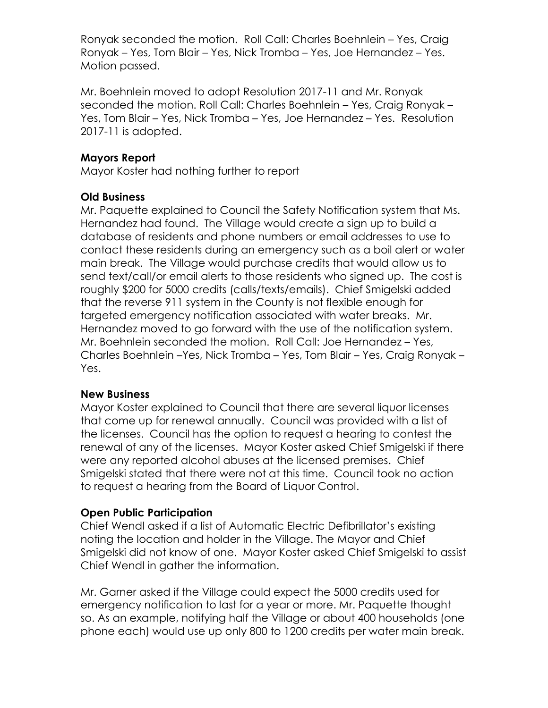Ronyak seconded the motion. Roll Call: Charles Boehnlein – Yes, Craig Ronyak – Yes, Tom Blair – Yes, Nick Tromba – Yes, Joe Hernandez – Yes. Motion passed.

Mr. Boehnlein moved to adopt Resolution 2017-11 and Mr. Ronyak seconded the motion. Roll Call: Charles Boehnlein – Yes, Craig Ronyak – Yes, Tom Blair – Yes, Nick Tromba – Yes, Joe Hernandez – Yes. Resolution 2017-11 is adopted.

### **Mayors Report**

Mayor Koster had nothing further to report

### **Old Business**

Mr. Paquette explained to Council the Safety Notification system that Ms. Hernandez had found. The Village would create a sign up to build a database of residents and phone numbers or email addresses to use to contact these residents during an emergency such as a boil alert or water main break. The Village would purchase credits that would allow us to send text/call/or email alerts to those residents who signed up. The cost is roughly \$200 for 5000 credits (calls/texts/emails). Chief Smigelski added that the reverse 911 system in the County is not flexible enough for targeted emergency notification associated with water breaks. Mr. Hernandez moved to go forward with the use of the notification system. Mr. Boehnlein seconded the motion. Roll Call: Joe Hernandez – Yes, Charles Boehnlein –Yes, Nick Tromba – Yes, Tom Blair – Yes, Craig Ronyak – Yes.

### **New Business**

Mayor Koster explained to Council that there are several liquor licenses that come up for renewal annually. Council was provided with a list of the licenses. Council has the option to request a hearing to contest the renewal of any of the licenses. Mayor Koster asked Chief Smigelski if there were any reported alcohol abuses at the licensed premises. Chief Smigelski stated that there were not at this time. Council took no action to request a hearing from the Board of Liquor Control.

### **Open Public Participation**

Chief Wendl asked if a list of Automatic Electric Defibrillator's existing noting the location and holder in the Village. The Mayor and Chief Smigelski did not know of one. Mayor Koster asked Chief Smigelski to assist Chief Wendl in gather the information.

Mr. Garner asked if the Village could expect the 5000 credits used for emergency notification to last for a year or more. Mr. Paquette thought so. As an example, notifying half the Village or about 400 households (one phone each) would use up only 800 to 1200 credits per water main break.